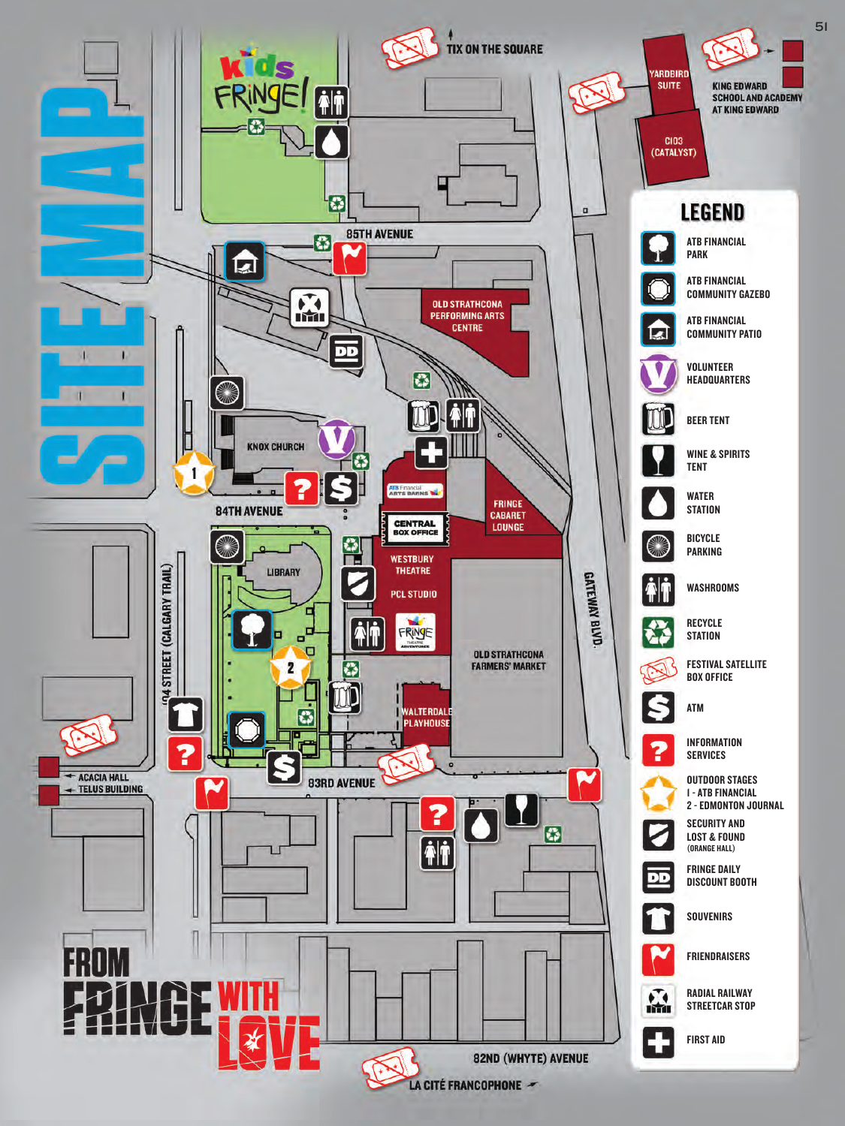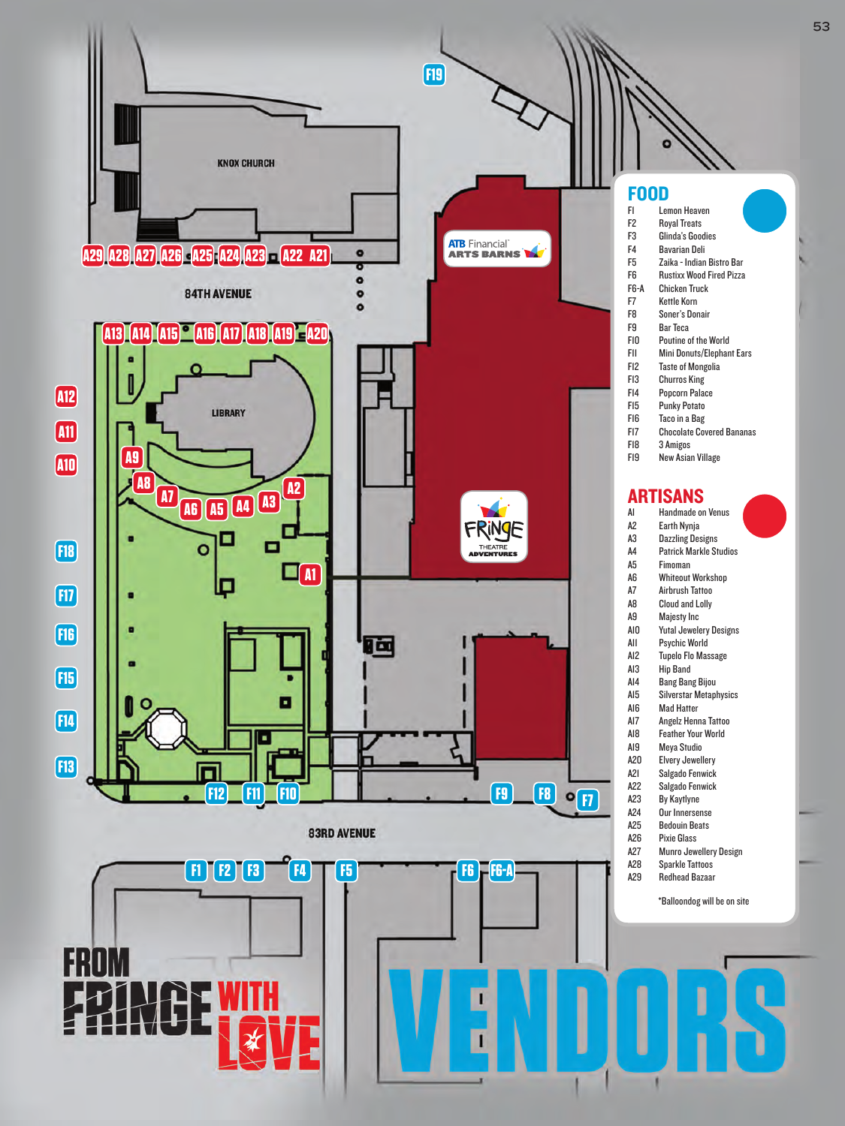